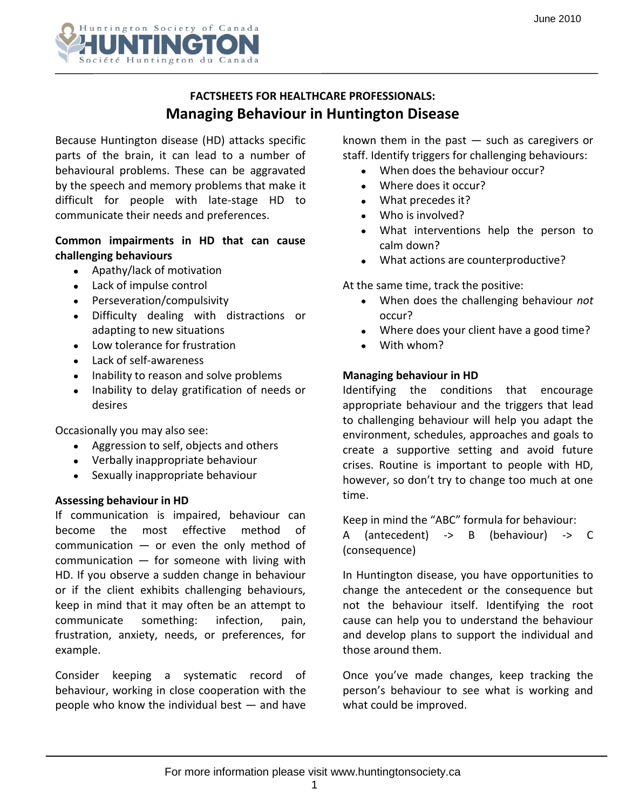

# **FACTSHEETS FOR HEALTHCARE PROFESSIONALS: Managing Behaviour in Huntington Disease**

Because Huntington disease (HD) attacks specific parts of the brain, it can lead to a number of behavioural problems. These can be aggravated by the speech and memory problems that make it difficult for people with late-stage HD to communicate their needs and preferences.

### **Common impairments in HD that can cause challenging behaviours**

- Apathy/lack of motivation
- Lack of impulse control
- Perseveration/compulsivity
- Difficulty dealing with distractions or adapting to new situations
- Low tolerance for frustration
- Lack of self-awareness
- Inability to reason and solve problems
- Inability to delay gratification of needs or desires

Occasionally you may also see:

- Aggression to self, objects and others
- Verbally inappropriate behaviour
- Sexually inappropriate behaviour

### **Assessing behaviour in HD**

If communication is impaired, behaviour can become the most effective method of communication — or even the only method of communication — for someone with living with HD. If you observe a sudden change in behaviour or if the client exhibits challenging behaviours, keep in mind that it may often be an attempt to communicate something: infection, pain, frustration, anxiety, needs, or preferences, for example.

Consider keeping a systematic record of behaviour, working in close cooperation with the people who know the individual best — and have

known them in the past  $-$  such as caregivers or staff. Identify triggers for challenging behaviours:

- When does the behaviour occur?
- Where does it occur?
- What precedes it?
- Who is involved?
- What interventions help the person to calm down?
- What actions are counterproductive?

At the same time, track the positive:

- When does the challenging behaviour *not* occur?
- Where does your client have a good time?
- With whom?

## **Managing behaviour in HD**

Identifying the conditions that encourage appropriate behaviour and the triggers that lead to challenging behaviour will help you adapt the environment, schedules, approaches and goals to create a supportive setting and avoid future crises. Routine is important to people with HD, however, so don't try to change too much at one time.

Keep in mind the "ABC" formula for behaviour:

A (antecedent) -> B (behaviour) -> C (consequence)

In Huntington disease, you have opportunities to change the antecedent or the consequence but not the behaviour itself. Identifying the root cause can help you to understand the behaviour and develop plans to support the individual and those around them.

Once you've made changes, keep tracking the person's behaviour to see what is working and what could be improved.